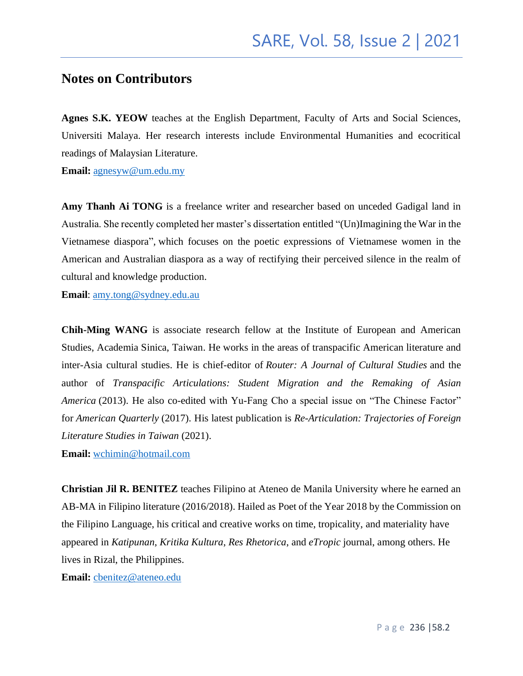### **Notes on Contributors**

**Agnes S.K. YEOW** teaches at the English Department, Faculty of Arts and Social Sciences, Universiti Malaya. Her research interests include Environmental Humanities and ecocritical readings of Malaysian Literature.

**Email:** [agnesyw@um.edu.my](mailto:agnesyw@um.edu.my)

**Amy Thanh Ai TONG** is a freelance writer and researcher based on unceded Gadigal land in Australia. She recently completed her master's dissertation entitled "(Un)Imagining the War in the Vietnamese diaspora"*,* which focuses on the poetic expressions of Vietnamese women in the American and Australian diaspora as a way of rectifying their perceived silence in the realm of cultural and knowledge production.

**Email**: [amy.tong@sydney.edu.au](mailto:amy.tong@sydney.edu.au)

**Chih-Ming WANG** is associate research fellow at the Institute of European and American Studies, Academia Sinica, Taiwan. He works in the areas of transpacific American literature and inter-Asia cultural studies. He is chief-editor of *Router: A Journal of Cultural Studies* and the author of *Transpacific Articulations: Student Migration and the Remaking of Asian America* (2013). He also co-edited with Yu-Fang Cho a special issue on "The Chinese Factor" for *American Quarterly* (2017). His latest publication is *Re-Articulation: Trajectories of Foreign Literature Studies in Taiwan* (2021).

**Email:** [wchimin@hotmail.com](mailto:wchimin@hotmail.com)

**Christian Jil R. BENITEZ** teaches Filipino at Ateneo de Manila University where he earned an AB-MA in Filipino literature (2016/2018). Hailed as Poet of the Year 2018 by the Commission on the Filipino Language, his critical and creative works on time, tropicality, and materiality have appeared in *Katipunan*, *Kritika Kultura*, *Res Rhetorica*, and *eTropic* journal, among others. He lives in Rizal, the Philippines.

**Email:** [cbenitez@ateneo.edu](mailto:cbenitez@ateneo.edu)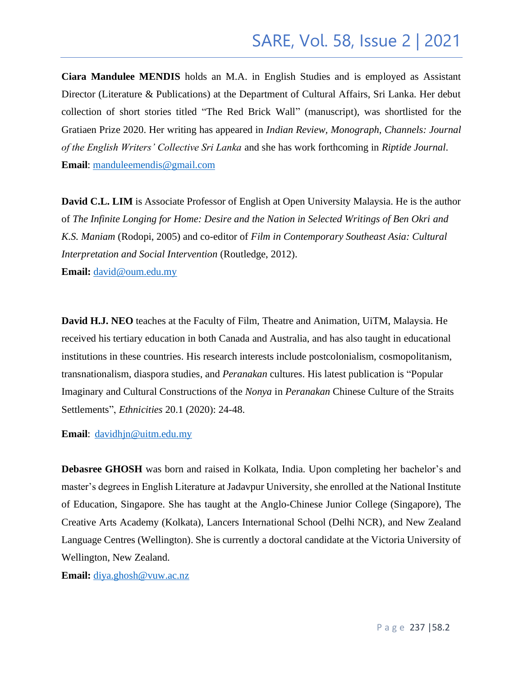# SARE, Vol. 58, Issue 2 | 2021

**Ciara Mandulee MENDIS** holds an M.A. in English Studies and is employed as Assistant Director (Literature & Publications) at the Department of Cultural Affairs, Sri Lanka. Her debut collection of short stories titled "The Red Brick Wall" (manuscript), was shortlisted for the Gratiaen Prize 2020. Her writing has appeared in *Indian Review, Monograph, Channels: Journal of the English Writers' Collective Sri Lanka* and she has work forthcoming in *Riptide Journal*. **Email**: [manduleemendis@gmail.com](mailto:manduleemendis@gmail.com)

**David C.L. LIM** is Associate Professor of English at Open University Malaysia. He is the author of *The Infinite Longing for Home: Desire and the Nation in Selected Writings of Ben Okri and K.S. Maniam* (Rodopi, 2005) and co-editor of *Film in Contemporary Southeast Asia: Cultural Interpretation and Social Intervention* (Routledge, 2012).

Email: [david@oum.edu.my](mailto:david@oum.edu.my)

**David H.J. NEO** teaches at the Faculty of Film, Theatre and Animation, UiTM, Malaysia. He received his tertiary education in both Canada and Australia, and has also taught in educational institutions in these countries. His research interests include postcolonialism, cosmopolitanism, transnationalism, diaspora studies, and *Peranakan* cultures. His latest publication is "Popular Imaginary and Cultural Constructions of the *Nonya* in *Peranakan* Chinese Culture of the Straits Settlements", *Ethnicities* 20.1 (2020): 24-48.

#### **Email**: [davidhjn@uitm.edu.my](mailto:davidhjn@uitm.edu.my)

**Debasree GHOSH** was born and raised in Kolkata, India. Upon completing her bachelor's and master's degrees in English Literature at Jadavpur University, she enrolled at the National Institute of Education, Singapore. She has taught at the Anglo-Chinese Junior College (Singapore), The Creative Arts Academy (Kolkata), Lancers International School (Delhi NCR), and New Zealand Language Centres (Wellington). She is currently a doctoral candidate at the Victoria University of Wellington, New Zealand.

**Email:** [diya.ghosh@vuw.ac.nz](mailto:diya.ghosh@vuw.ac.nz)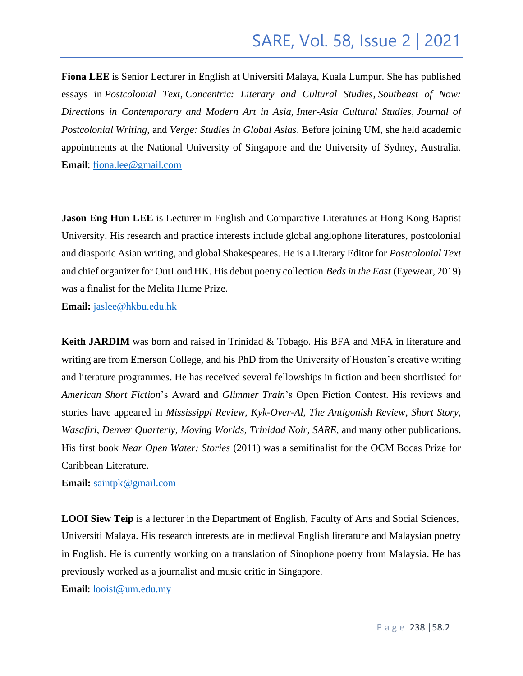# SARE, Vol. 58, Issue 2 | 2021

**Fiona LEE** is Senior Lecturer in English at Universiti Malaya, Kuala Lumpur. She has published essays in *Postcolonial Text*, *Concentric: Literary and Cultural Studies*, *Southeast of Now: Directions in Contemporary and Modern Art in Asia, Inter-Asia Cultural Studies*, *Journal of Postcolonial Writing*, and *Verge: Studies in Global Asias*. Before joining UM, she held academic appointments at the National University of Singapore and the University of Sydney, Australia. **Email**: [fiona.lee@gmail.com](mailto:fiona.lee@gmail.com)

**Jason Eng Hun LEE** is Lecturer in English and Comparative Literatures at Hong Kong Baptist University. His research and practice interests include global anglophone literatures, postcolonial and diasporic Asian writing, and global Shakespeares. He is a Literary Editor for *Postcolonial Text*  and chief organizer for OutLoud HK. His debut poetry collection *Beds in the East* (Eyewear, 2019) was a finalist for the Melita Hume Prize.

**Email:** [jaslee@hkbu.edu.hk](mailto:jaslee@hkbu.edu.hk)

**Keith JARDIM** was born and raised in Trinidad & Tobago. His BFA and MFA in literature and writing are from Emerson College, and his PhD from the University of Houston's creative writing and literature programmes. He has received several fellowships in fiction and been shortlisted for *American Short Fiction*'s Award and *Glimmer Train*'s Open Fiction Contest. His reviews and stories have appeared in *Mississippi Review*, *Kyk-Over-Al*, *The Antigonish Review*, *Short Story*, *Wasafiri*, *Denver Quarterly*, *Moving Worlds, Trinidad Noir, SARE*, and many other publications. His first book *Near Open Water: Stories* (2011) was a semifinalist for the OCM Bocas Prize for Caribbean Literature.

**Email:** [saintpk@gmail.com](mailto:saintpk@gmail.com)

**LOOI Siew Teip** is a lecturer in the Department of English, Faculty of Arts and Social Sciences, Universiti Malaya. His research interests are in medieval English literature and Malaysian poetry in English. He is currently working on a translation of Sinophone poetry from Malaysia. He has previously worked as a journalist and music critic in Singapore.

**Email**: [looist@um.edu.my](mailto:looist@um.edu.my)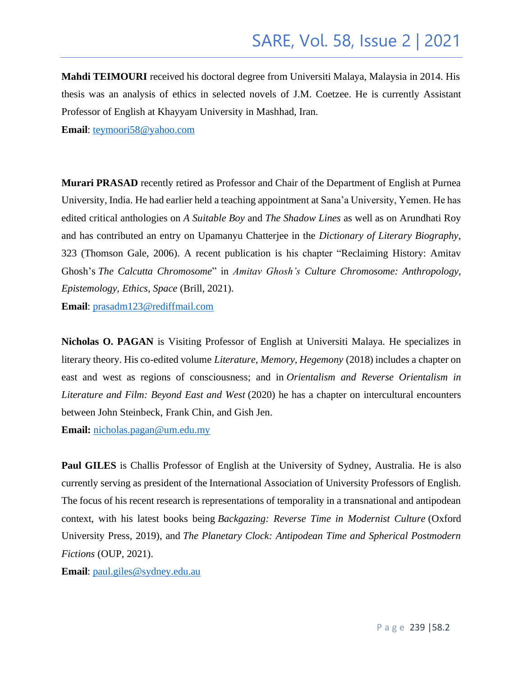**Mahdi TEIMOURI** received his doctoral degree from Universiti Malaya, Malaysia in 2014. His thesis was an analysis of ethics in selected novels of J.M. Coetzee. He is currently Assistant Professor of English at Khayyam University in Mashhad, Iran.

**Email**: [teymoori58@yahoo.com](mailto:teymoori58@yahoo.com)

**Murari PRASAD** recently retired as Professor and Chair of the Department of English at Purnea University, India. He had earlier held a teaching appointment at Sana'a University, Yemen. He has edited critical anthologies on *A Suitable Boy* and *The Shadow Lines* as well as on Arundhati Roy and has contributed an entry on Upamanyu Chatterjee in the *Dictionary of Literary Biography*, 323 (Thomson Gale, 2006). A recent publication is his chapter "Reclaiming History: Amitav Ghosh's *The Calcutta Chromosome*" in *Amitav Ghosh's Culture Chromosome: Anthropology, Epistemology, Ethics, Space* (Brill, 2021).

**Email**: [prasadm123@rediffmail.com](mailto:prasadm123@rediffmail.com)

**Nicholas O. PAGAN** is Visiting Professor of English at Universiti Malaya. He specializes in literary theory. His co-edited volume *Literature, Memory, Hegemony* (2018) includes a chapter on east and west as regions of consciousness; and in *Orientalism and Reverse Orientalism in Literature and Film: Beyond East and West* (2020) he has a chapter on intercultural encounters between John Steinbeck, Frank Chin, and Gish Jen.

**Email:** [nicholas.pagan@um.edu.my](mailto:nicholas.pagan@um.edu.my)

**Paul GILES** is Challis Professor of English at the University of Sydney, Australia. He is also currently serving as president of the International Association of University Professors of English. The focus of his recent research is representations of temporality in a transnational and antipodean context, with his latest books being *Backgazing: Reverse Time in Modernist Culture* (Oxford University Press, 2019), and *The Planetary Clock: Antipodean Time and Spherical Postmodern Fictions* (OUP, 2021).

**Email**: [paul.giles@sydney.edu.au](mailto:paul.giles@sydney.edu.au)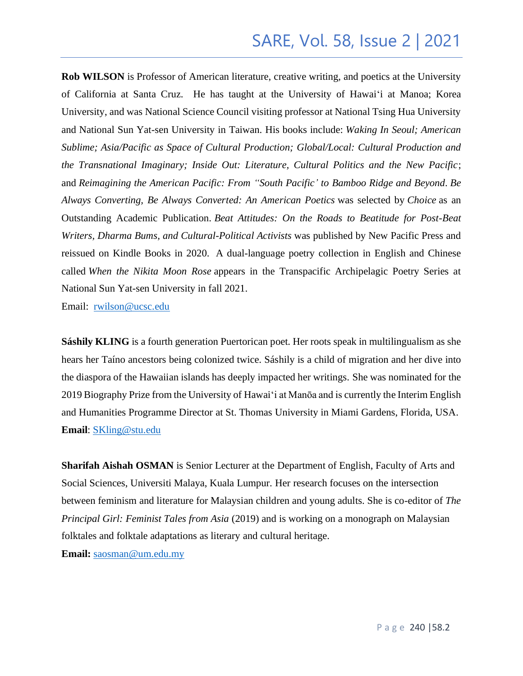# SARE, Vol. 58, Issue 2 | 2021

**Rob WILSON** is Professor of American literature, creative writing, and poetics at the University of California at Santa Cruz. He has taught at the University of Hawai'i at Manoa; Korea University, and was National Science Council visiting professor at National Tsing Hua University and National Sun Yat-sen University in Taiwan. His books include: *Waking In Seoul; American Sublime; Asia/Pacific as Space of Cultural Production; Global/Local: Cultural Production and the Transnational Imaginary; Inside Out: Literature, Cultural Politics and the New Pacific*; and *Reimagining the American Pacific: From "South Pacific' to Bamboo Ridge and Beyond*. *Be Always Converting, Be Always Converted: An American Poetics* was selected by *Choice* as an Outstanding Academic Publication. *Beat Attitudes: On the Roads to Beatitude for Post-Beat Writers, Dharma Bums, and Cultural-Political Activists* was published by New Pacific Press and reissued on Kindle Books in 2020. A dual-language poetry collection in English and Chinese called *When the Nikita Moon Rose* appears in the Transpacific Archipelagic Poetry Series at National Sun Yat-sen University in fall 2021.

Email: [rwilson@ucsc.edu](mailto:rwilson@ucsc.edu)

**Sáshily KLING** is a fourth generation Puertorican poet. Her roots speak in multilingualism as she hears her Taíno ancestors being colonized twice. Sáshily is a child of migration and her dive into the diaspora of the Hawaiian islands has deeply impacted her writings. She was nominated for the 2019 Biography Prize from the University of Hawai'i at Manōa and is currently the Interim English and Humanities Programme Director at St. Thomas University in Miami Gardens, Florida, USA. **Email**: [SKling@stu.edu](mailto:SKling@stu.edu)

**Sharifah Aishah OSMAN** is Senior Lecturer at the Department of English, Faculty of Arts and Social Sciences, Universiti Malaya, Kuala Lumpur. Her research focuses on the intersection between feminism and literature for Malaysian children and young adults. She is co-editor of *The Principal Girl: Feminist Tales from Asia* (2019) and is working on a monograph on Malaysian folktales and folktale adaptations as literary and cultural heritage. **Email:** [saosman@um.edu.my](mailto:saosman@um.edu.my)